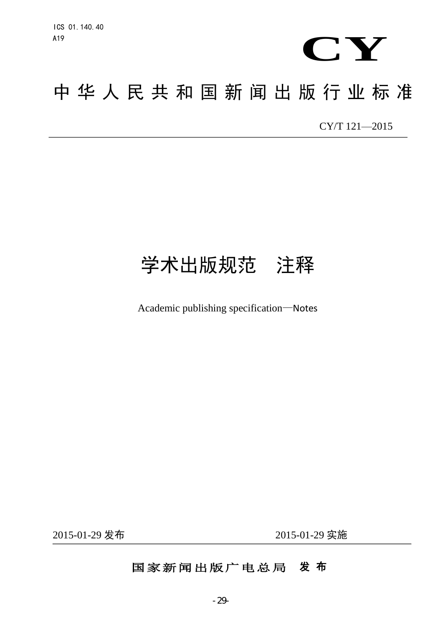

# 中华人民共和国新闻出版行业标准 新闻出版行业标<br><sub>————————————————————</sub> **2011** CY/T 121-2015

# 学术出版规范 注释

Academic publishing specification—Notes

2015-01-29 发布

2015-01-29 实施

## 国家新闻出版广电总局 发 布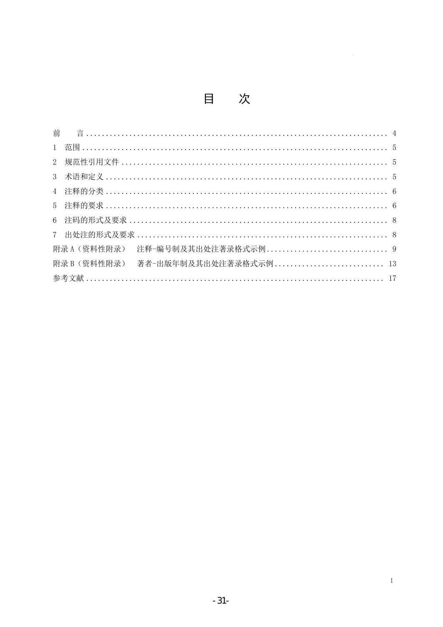目次

| 2               |                                    |  |
|-----------------|------------------------------------|--|
| 3               |                                    |  |
| $4\overline{ }$ |                                    |  |
| $5^{\circ}$     |                                    |  |
|                 |                                    |  |
|                 |                                    |  |
|                 |                                    |  |
|                 | 附录 B (资料性附录) 著者-出版年制及其出处注著录格式示例 13 |  |
|                 |                                    |  |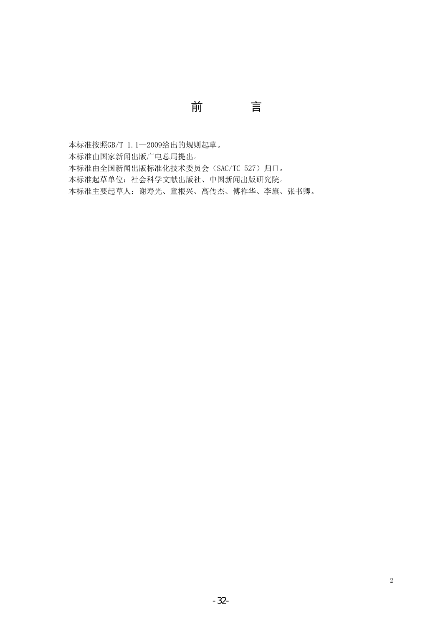本标准按照GB/T 1.1—2009给出的规则起草。

本标准由国家新闻出版广电总局提出。

本标准由全国新闻出版标准化技术委员会(SAC/TC 527) 归口。

本标准起草单位:社会科学文献出版社、中国新闻出版研究院。

本标准主要起草人:谢寿光、童根兴、高传杰、傅祚华、李旗、张书卿。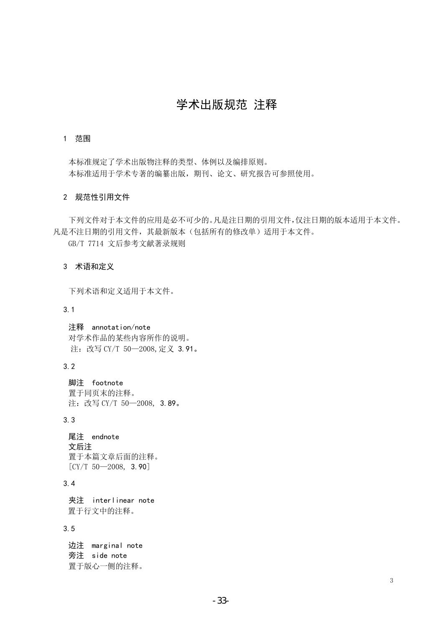### 学术出版规范 注释

#### 1 范围

本标准规定了学术出版物注释的类型、体例以及编排原则。 本标准适用于学术专著的编纂出版,期刊、论文、研究报告可参照使用。

#### 2 规范性引用文件

下列文件对于本文件的应用是必不可少的。凡是注日期的引用文件,仅注日期的版本适用于本文件。 凡是不注日期的引用文件,其最新版本(包括所有的修改单)适用于本文件。

GB/T 7714 文后参考文献著录规则

#### 3 术语和定义

下列术语和定义适用于本文件。

3.1

注释 annotation/note 对学术作品的某些内容所作的说明。 注: 改写 CY/T 50-2008, 定义 3.91。

3.2

脚注 footnote 置于同页末的注释。 注: 改写 CY/T 50-2008, 3.89。

3.3

尾注 endnote 文后注 置于本篇文章后面的注释。  $[CY/T 50 - 2008, 3.90]$ 

#### 3.4

夹注 interlinear note 置于行文中的注释。

3.5

边注 marginal note 旁注 side note 置于版心一侧的注释。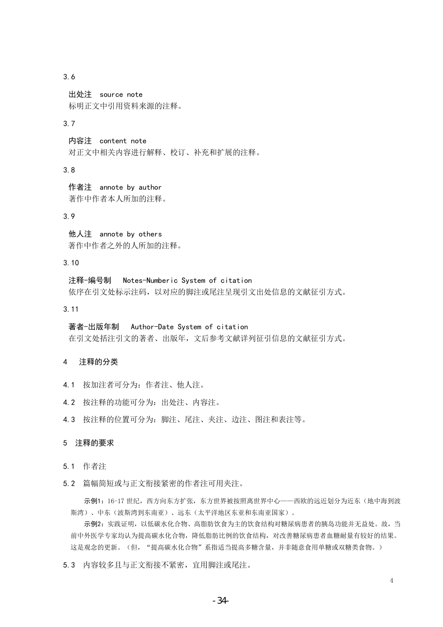3.6

出处注 source note 标明正文中引用资料来源的注释。

#### 3.7

内容注 content note 对正文中相关内容进行解释、校订、补充和扩展的注释。

3.8

作者注 annote by author 著作中作者本人所加的注释。

#### 3.9

他人注 annote by others 著作中作者之外的人所加的注释。

#### 3.10

注释-编号制 Notes-Numberic System of citation 依序在引文处标示注码,以对应的脚注或尾注呈现引文出处信息的文献征引方式。

3.11

著者-出版年制 Author-Date System of citation

在引文处括注引文的著者、出版年,文后参考文献详列征引信息的文献征引方式。

#### 4 注释的分类

- 4.1 按加注者可分为:作者注、他人注。
- 4.2 按注释的功能可分为:出处注、内容注。
- 4.3 按注释的位置可分为:脚注、尾注、夹注、边注、图注和表注等。

#### 5 注释的要求

- 5.1 作者注
- 5.2 篇幅简短或与正文衔接紧密的作者注可用夹注。

示例1:16-17 世纪, 西方向东方扩张, 东方世界被按照离世界中心——西欧的远近划分为近东(地中海到波 斯湾)、中东(波斯湾到东南亚)、远东(太平洋地区东亚和东南亚国家)。

示例2:实践证明,以低碳水化合物、高脂肪饮食为主的饮食结构对糖尿病患者的胰岛功能并无益处。故,当 前中外医学专家均认为提高碳水化合物,降低脂肪比例的饮食结构,对改善糖尿病患者血糖耐量有较好的结果。 这是观念的更新。(但, "提高碳水化合物"系指适当提高多糖含量,并非随意食用单糖或双糖类食物。)

4

5.3 内容较多且与正文衔接不紧密,宜用脚注或尾注。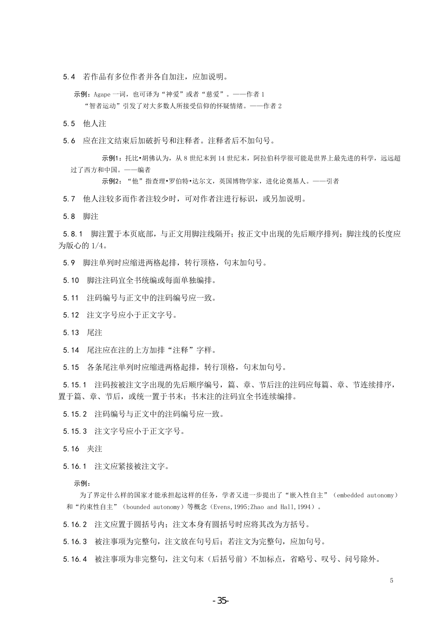5.4 若作品有多位作者并各自加注,应加说明。

示例: Agape 一词, 也可译为"神爱"或者"慈爱"。——作者 1 "智者运动"引发了对大多数人所接受信仰的怀疑情绪。——作者 2

5.5 他人注

5.6 应在注文结束后加破折号和注释者。注释者后不加句号。

示例1: 托比•胡佛认为, 从 8 世纪末到 14 世纪末, 阿拉伯科学很可能是世界上最先进的科学, 远远超 过了西方和中国。——编者

示例2: "他"指查理•罗伯特•达尔文,英国博物学家,进化论奠基人。——引者

5.7 他人注较多而作者注较少时,可对作者注进行标识,或另加说明。

5.8 脚注

5.8.1 脚注置于本页底部,与正文用脚注线隔开;按正文中出现的先后顺序排列;脚注线的长度应 为版心的 1/4。

5.9 脚注单列时应缩进两格起排,转行顶格,句末加句号。

- 5.10 脚注注码宜全书统编或每面单独编排。
- 5.11 注码编号与正文中的注码编号应一致。
- 5.12 注文字号应小于正文字号。
- 5.13 尾注
- 5.14 尾注应在注的上方加排"注释"字样。

5.15 各条尾注单列时应缩进两格起排,转行顶格,句末加句号。

5.15.1 注码按被注文字出现的先后顺序编号,篇、章、节后注的注码应每篇、章、节连续排序, 置于篇、章、节后,或统一置于书末;书末注的注码宜全书连续编排。

5.15.2 注码编号与正文中的注码编号应一致。

5.15.3 注文字号应小于正文字号。

5.16 夹注

5.16.1 注文应紧接被注文字。

示例:

为了界定什么样的国家才能承担起这样的任务,学者又进一步提出了"嵌入性自主"(embedded autonomy) 和"约束性自主"(bounded autonomy)等概念(Evens,1995;Zhao and Hall,1994)。

5.16.2 注文应置于圆括号内;注文本身有圆括号时应将其改为方括号。

5.16.3 被注事项为完整句,注文放在句号后;若注文为完整句,应加句号。

5.16.4 被注事项为非完整句,注文句末(后括号前)不加标点,省略号、叹号、问号除外。

5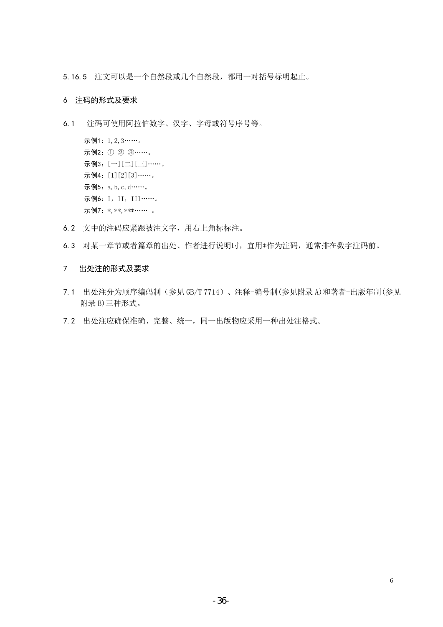5.16.5 注文可以是一个自然段或几个自然段,都用一对括号标明起止。

#### 6 注码的形式及要求

6.1 注码可使用阿拉伯数字、汉字、字母或符号序号等。

```
示例1:1,2,3 ……。
示例2: ① ② ③……。
示例3: [一][二][三] ……。
示例4: [1][2][3] ……。
示例5: a, b, c, d ·······。
示例6: I, II, III ……。
示例7: *, **, ***…… 。
```
- 6.2 文中的注码应紧跟被注文字,用右上角标标注。
- 6.3 对某一章节或者篇章的出处、作者进行说明时,宜用\*作为注码,通常排在数字注码前。

#### 7 出处注的形式及要求

- 7.1 出处注分为顺序编码制(参见 GB/T 7714)、注释-编号制(参见附录 A)和著者-出版年制(参见 附录 B)三种形式。
- 7.2 出处注应确保准确、完整、统一,同一出版物应采用一种出处注格式。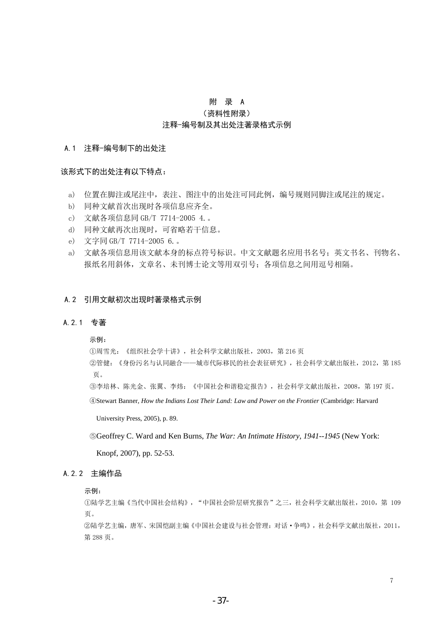#### 附 录 A (资料性附录) 注释-编号制及其出处注著录格式示例

#### A.1 注释-编号制下的出处注

#### 该形式下的出处注有以下特点:

- a) 位置在脚注或尾注中,表注、图注中的出处注可同此例,编号规则同脚注或尾注的规定。
- b) 同种文献首次出现时各项信息应齐全。
- c) 文献各项信息同 GB/T 7714-2005 4.。
- d) 同种文献再次出现时,可省略若干信息。
- e) 文字同 GB/T 7714-2005 6.。
- a) 文献各项信息用该文献本身的标点符号标识。中文文献题名应用书名号;英文书名、刊物名、 报纸名用斜体,文章名、未刊博士论文等用双引号;各项信息之间用逗号相隔。

#### A.2 引用文献初次出现时著录格式示例

#### A.2.1 专著

#### 示例:

①周雪光:《组织社会学十讲》,社会科学文献出版社,2003,第 216 页

 ②管健:《身份污名与认同融合——城市代际移民的社会表征研究》,社会科学文献出版社,2012,第 185 页。

③李培林、陈光金、张翼、李炜:《中国社会和谐稳定报告》,社会科学文献出版社,2008,第 197 页。

④Stewart Banner, *How the Indians Lost Their Land: Law and Power on the Frontier* (Cambridge: Harvard

University Press, 2005), p. 89.

⑤Geoffrey C. Ward and Ken Burns, *The War: An Intimate History, 1941--1945* (New York:

Knopf, 2007), pp. 52-53.

#### A.2.2 主编作品

#### 示例:

①陆学艺主编《当代中国社会结构》,"中国社会阶层研究报告"之三,社会科学文献出版社,2010,第 109 页。

②陆学艺主编,唐军、宋国恺副主编《中国社会建设与社会管理:对话·争鸣》,社会科学文献出版社,2011, 第 288 页。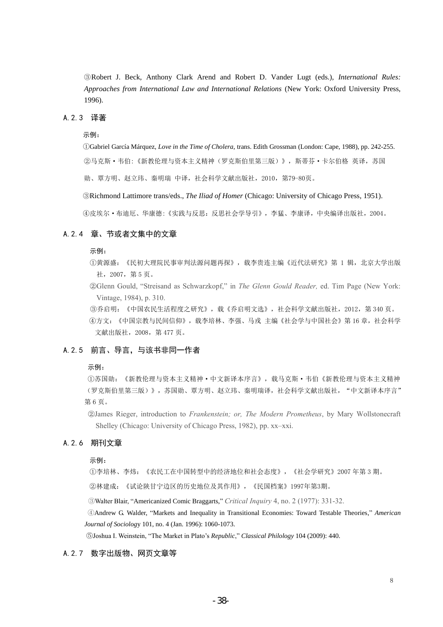③Robert J. Beck, Anthony Clark Arend and Robert D. Vander Lugt (eds.), *International Rules: Approaches from International Law and International Relations* (New York: Oxford University Press, 1996).

#### A.2.3 译著

#### 示例:

①Gabriel García Márquez, *Love in the Time of Cholera,* trans. Edith Grossman (London: Cape, 1988), pp. 242-255. ②马克斯·韦伯:《新教伦理与资本主义精神(罗克斯伯里第三版)》,斯蒂芬·卡尔伯格 英译,苏国

勋、覃方明、赵立玮、秦明瑞 中译,社会科学文献出版社,2010,第79-80页。

③Richmond Lattimore trans/eds., *The Iliad of Homer* (Chicago: University of Chicago Press, 1951).

④皮埃尔·布迪厄、华康德:《实践与反思:反思社会学导引》,李猛、李康译,中央编译出版社,2004。

#### A.2.4 章、节或者文集中的文章

#### 示例:

①黄源盛:《民初大理院民事审判法源问题再探》,载李贵连主编《近代法研究》第 1 辑,北京大学出版 社,2007,第 5 页。

 ②Glenn Gould, "Streisand as Schwarzkopf," in *The Glenn Gould Reader,* ed. Tim Page (New York: Vintage, 1984), p. 310.

 ③乔启明:《中国农民生活程度之研究》,载《乔启明文选》,社会科学文献出版社,2012,第 340 页。 ④方文:《中国宗教与民间信仰》,载李培林、李强、马戎 主编《社会学与中国社会》第 16 章,社会科学 文献出版社,2008,第 477 页。

#### A.2.5 前言、导言,与该书非同一作者

#### 示例:

①苏国勋:《新教伦理与资本主义精神·中文新译本序言》,载马克斯·韦伯《新教伦理与资本主义精神 (罗克斯伯里第三版)》,苏国勋、覃方明、赵立玮、秦明瑞译,社会科学文献出版社, "中文新译本序言" 第 6 页。

 ②James Rieger, introduction to *Frankenstein; or, The Modern Prometheus*, by Mary Wollstonecraft Shelley (Chicago: University of Chicago Press, 1982), pp. xx–xxi.

#### A.2.6 期刊文章

示例:

①李培林、李炜:《农民工在中国转型中的经济地位和社会态度》,《社会学研究》2007 年第 3 期。

②林建成:《试论陕甘宁边区的历史地位及其作用》,《民国档案》1997年第3期。

③Walter Blair, ―Americanized Comic Braggarts,‖ *Critical Inquiry* 4, no. 2 (1977): 331-32.

④Andrew G. Walder, ―Markets and Inequality in Transitional Economies: Toward Testable Theories,‖ *American Journal of Sociolog*y 101, no. 4 (Jan. 1996): 1060-1073.

⑤Joshua I. Weinstein, ―The Market in Plato's *Republic*,‖ *Classical Philology* 104 (2009): 440.

#### A.2.7 数字出版物、网页文章等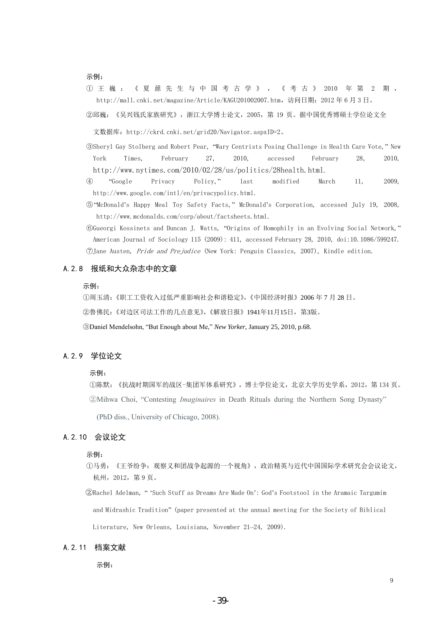#### 示例:

- ① 王 巍 : 《 夏 鼐 先 生 与 中 国 考 古 学 》 , 《 考 古 》 2010 年 第 2 期 , [http://mall.cnki.net/magazine/Article/KAGU201002007.htm,](http://mall.cnki.net/magazine/Article/KAGU201002007.htm)访问日期:2012 年 6 月 3 日。
- ②邱巍:《吴兴钱氏家族研究》,浙江大学博士论文,2005,第 19 页。据中国优秀博硕士学位论文全

文数据库[:http://ckrd.cnki.net/grid20/Navigator.aspxID=2。](http://ckrd.cnki.net/grid20/Navigator.aspxID=2)

- ③Sheryl Gay Stolberg and Robert Pear, ―Wary Centrists Posing Challenge in Health Care Vote,‖ New York Times, February 27, 2010, accessed February 28, 2010, <http://www.nytimes.com/2010/02/28/us/politics/28health.html>.
- ④ ―Google Privacy Policy,‖ last modified March 11, 2009, http://www.google.com/intl/en/privacypolicy.html.
- ⑤―McDonald's Happy Meal Toy Safety Facts,‖ McDonald's Corporation, accessed July 19, 2008, [http://www.mcdonalds.com/corp/about/factsheets.html.](http://www.mcdonalds.com/corp/about/factsheets.html)
- ©Gueorgi Kossinets and Duncan J. Watts, "Origins of Homophily in an Evolving Social Network," American Journal of Sociology 115 (2009): 411, accessed February 28, 2010, doi:10.1086/599247. ⑦Jane Austen, Pride and Prejudice (New York: Penguin Classics, 2007), Kindle edition.

#### A.2.8 报纸和大众杂志中的文章

#### 示例:

①周玉清:《职工工资收入过低严重影响社会和谐稳定》,《中国经济时报》2006 年 7 月 28 日。 ②鲁佛民:《对边区司法工作的几点意见》,《解放日报》1941年11月15日,第3版。 ③Daniel Mendelsohn, ―But Enough about Me,‖ *New Yorker*, January 25, 2010, p.68.

#### A.2.9 学位论文

#### 示例:

①陈默:《抗战时期国军的战区-集团军体系研究》,博士学位论文,北京大学历史学系,2012,第 134 页。 ②Mihwa Choi, "Contesting *Imaginaires* in Death Rituals during the Northern Song Dynasty"

(PhD diss., University of Chicago, 2008).

#### A.2.10 会议论文

#### 示例:

①马勇:《王爷纷争:观察义和团战争起源的一个视角》,政治精英与近代中国国际学术研究会会议论文, 杭州,2012,第 9 页。

②Rachel Adelman, ― ‗Such Stuff as Dreams Are Made On': God's Footstool in the Aramaic Targumim and Midrashic Tradition‖ (paper presented at the annual meeting for the Society of Biblical Literature, New Orleans, Louisiana, November 21–24, 2009).

#### A.2.11 档案文献

示例: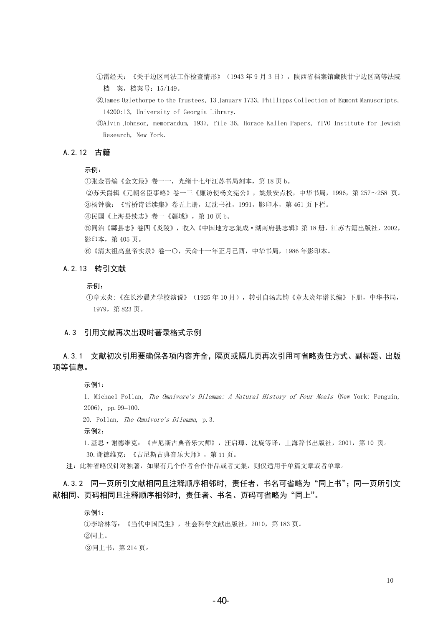- ①雷经天:《关于边区司法工作检查情形》(1943 年 9 月 3 日),陕西省档案馆藏陕甘宁边区高等法院 档 案,档案号:15/149。
- ②James Oglethorpe to the Trustees, 13 January 1733, Phillipps Collection of Egmont Manuscripts, 14200:13, University of Georgia Library.
- ③Alvin Johnson, memorandum, 1937, file 36, Horace Kallen Papers, YIVO Institute for Jewish Research, New York.

#### A.2.12 古籍

示例:

①张金吾编《金文最》卷一一,光绪十七年江苏书局刻本,第 18 页 b。

②苏天爵辑《元朝名臣事略》卷一三《廉访使杨文宪公》,姚景安点校,中华书局,1996,第 257~258 页。 ③杨钟羲:《雪桥诗话续集》卷五上册,辽沈书社,1991,影印本,第 461 页下栏。

④民国《上海县续志》卷一《疆域》,第 10 页 b。

⑤同治《酃县志》卷四《炎陵》,收入《中国地方志集成·湖南府县志辑》第 18 册,江苏古籍出版社,2002, 影印本,第 405 页。

⑥《清太祖高皇帝实录》卷一〇,天命十一年正月己酉,中华书局,1986 年影印本。

#### A.2.13 转引文献

示例:

①章太炎:《在长沙晨光学校演说》(1925 年 10 月),转引自汤志钧《章太炎年谱长编》下册,中华书局, 1979,第 823 页。

#### A.3 引用文献再次出现时著录格式示例

#### A. 3. 1 文献初次引用要确保各项内容齐全, 隔页或隔几页再次引用可省略责任方式、副标题、出版 项等信息。

示例1:

1. Michael Pollan, The Omnivore*'*s Dilemma: A Natural History of Four Meals (New York: Penguin, 2006), pp.99–100.

20. Pollan, The Omnivore*'*s Dilemma, p.3.

示例2:

1.基思·谢德维克:《吉尼斯古典音乐大师》,汪启璋、沈旋等译,上海辞书出版社,2001,第 10 页。 30.谢德维克:《吉尼斯古典音乐大师》,第 11 页。

注:此种省略仅针对独著,如果有几个作者合作作品或者文集,则仅适用于单篇文章或者单章。

A.3.2 同一页所引文献相同且注释顺序相邻时, 责任者、书名可省略为"同上书";同一页所引文 献相同、页码相同且注释顺序相邻时,责任者、书名、页码可省略为"同上"。

示例1:

①李培林等:《当代中国民生》,社会科学文献出版社,2010,第 183 页。 ②同上。 ③同上书,第 214 页。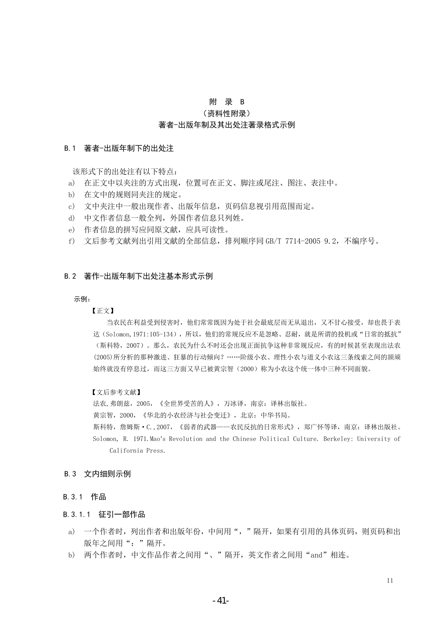#### 附 录 B

(资料性附录)

#### 著者-出版年制及其出处注著录格式示例

#### B.1 著者-出版年制下的出处注

该形式下的出处注有以下特点:

- a) 在正文中以夹注的方式出现,位置可在正文、脚注或尾注、图注、表注中。
- b) 在文中的规则同夹注的规定。
- c) 文中夹注中一般出现作者、出版年信息,页码信息视引用范围而定。
- d) 中文作者信息一般全列,外国作者信息只列姓。
- e) 作者信息的拼写应同原文献,应具可读性。
- f) 文后参考文献列出引用文献的全部信息,排列顺序同 GB/T 7714-2005 9.2,不编序号。

#### B.2 著作-出版年制下出处注基本形式示例

#### 示例:

#### 【正文】

当农民在利益受到侵害时,他们常常既因为处于社会最底层而无从退出,又不甘心接受,却也畏于表 达(Solomon, 1971:105-134), 所以, 他们的常规反应不是忽略、忍耐, 就是所谓的投机或"日常的抵抗" (斯科特,2007)。那么,农民为什么不时还会出现正面抗争这种非常规反应,有的时候甚至表现出法农 (2005)所分析的那种激进、狂暴的行动倾向? ……阶级小农、理性小农与道义小农这三条线索之间的颉颃 始终就没有停息过,而这三方面又早已被黄宗智(2000)称为小农这个统一体中三种不同面貌。

#### 【文后参考文献】

法农,弗朗兹,2005,《全世界受苦的人》,万冰译,南京:译林出版社。

黄宗智,2000,《华北的小农经济与社会变迁》,北京:中华书局。

斯科特,詹姆斯 · C., 2007, 《弱者的武器——农民反抗的日常形式》,郑广怀等译,南京:译林出版社。

Solomon, R. 1971.Mao's Revolution and the Chinese Political Culture. Berkeley: University of California Press.

#### B.3 文内细则示例

#### B.3.1 作品

#### B.3.1.1 征引一部作品

- a) 一个作者时,列出作者和出版年份,中间用","隔开,如果有引用的具体页码,则页码和出 版年之间用":"隔开。
- b) 两个作者时,中文作品作者之间用"、"隔开,英文作者之间用"and"相连。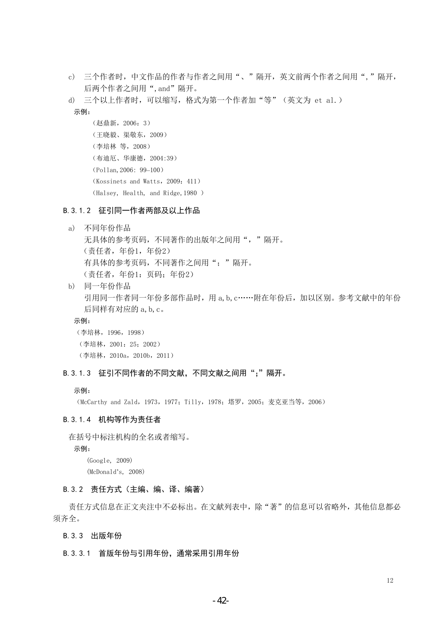- c) 三个作者时,中文作品的作者与作者之间用"、"隔开,英文前两个作者之间用","隔开, 后两个作者之间用",and"隔开。
- d) 三个以上作者时,可以缩写,格式为第一个作者加"等"(英文为 et al.)
- 示例:

```
(赵鼎新,2006:3)
 (王晓毅、渠敬东,2009)
(李培林 等,2008)
(布迪厄、华康德,2004:39)
(Pollan,2006: 99–100)
(Kossinets and Watts,2009:411)
(Halsey, Health, and Ridge,1980 )
```
#### B.3.1.2 征引同一作者两部及以上作品

```
a) 不同年份作品
  无具体的参考页码,不同著作的出版年之间用","隔开。
  (责任者,年份1,年份2)
  有具体的参考页码,不同著作之间用";"隔开。
  (责任者,年份1:页码;年份2)
```
b) 同一年份作品 引用同一作者同一年份多部作品时,用 a, b, c……附在年份后, 加以区别。参考文献中的年份 后同样有对应的 a,b,c。

#### 示例:

(李培林,1996,1998) (李培林,2001:25;2002) (李培林,2010a,2010b,2011)

#### B. 3. 1.3 征引不同作者的不同文献, 不同文献之间用";"隔开。

#### 示例:

(McCarthy and Zald, 1973, 1977; Tilly, 1978; 塔罗, 2005; 麦克亚当等, 2006)

#### B.3.1.4 机构等作为责任者

在括号中标注机构的全名或者缩写。

示例:

(Google, 2009)

(McDonald's, 2008)

#### B.3.2 责任方式(主编、编、译、编著)

责任方式信息在正文夹注中不必标出。在文献列表中,除"著"的信息可以省略外,其他信息都必 须齐全。

#### B.3.3 出版年份

#### B.3.3.1 首版年份与引用年份,通常采用引用年份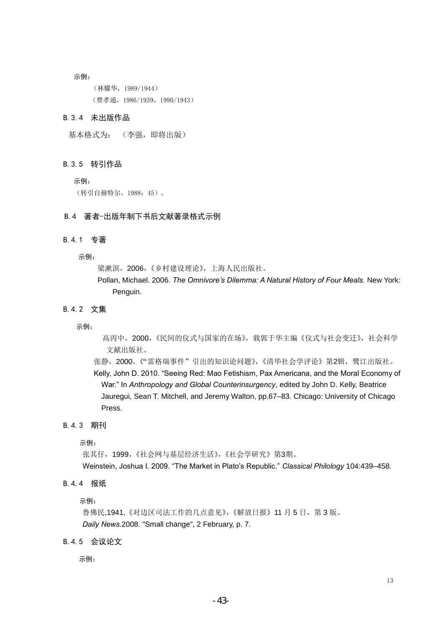示例:

(林耀华,1989/1944) (费孝通,1986/1939,1990/1943)

#### B.3.4 未出版作品

基本格式为: (李强,即将出版)

#### B.3.5 转引作品

示例:

(转引自赫特尔,1988:45)。

#### B.4 著者-出版年制下书后文献著录格式示例

#### B.4.1 专著

示例:

梁漱溟, 2006, 《乡村建设理论》, 上海人民出版社。

Pollan, Michael. 2006. *The Omnivore's Dilemma: A Natural History of Four Meals.* New York: Penguin.

#### B.4.2 文集

示例:

高丙中, 2000,《民间的仪式与国家的在场》,载郭于华主编《仪式与社会变迁》,社会科学 文献出版社。

张静,2000,《"雷格瑞事件"引出的知识论问题》,《清华社会学评论》第2辑,鹭江出版社。 Kelly, John D. 2010. "Seeing Red: Mao Fetishism, Pax Americana, and the Moral Economy of War." In *Anthropology and Global Counterinsurgency*, edited by John D. Kelly, Beatrice Jauregui, Sean T. Mitchell, and Jeremy Walton, pp.67–83. Chicago: University of Chicago Press.

#### B.4.3 期刊

示例:

张其仔,1999,《社会网与基层经济生活》,《社会学研究》第3期。 Weinstein, Joshua I. 2009. "The Market in Plato"s Republic." *Classical Philology* 104:439–458.

#### B.4.4 报纸

示例:

鲁佛民,1941,《对边区司法工作的几点意见》,《解放日报》11 月 5 日, 第 3 版。 *Daily News*.2008. "Small change", 2 February, p. 7.

B.4.5 会议论文

示例: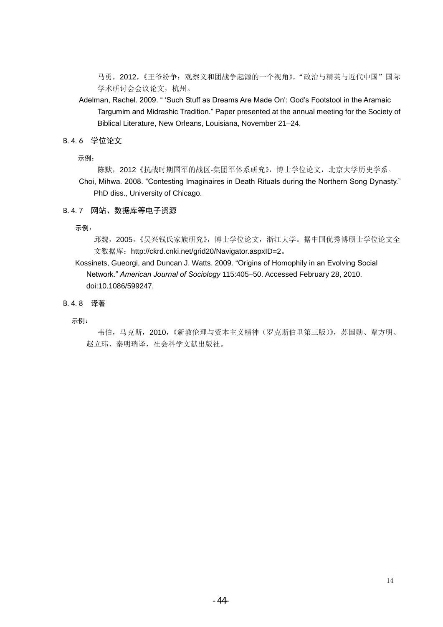马勇, 2012,《王爷纷争: 观察义和团战争起源的一个视角》, "政治与精英与近代中国"国际 学术研讨会会议论文, 杭州。

- Adelman, Rachel. 2009. " "Such Stuff as Dreams Are Made On": God"s Footstool in the Aramaic Targumim and Midrashic Tradition." Paper presented at the annual meeting for the Society of Biblical Literature, New Orleans, Louisiana, November 21–24.
- B.4.6 学位论文

示例:

- 陈默,2012《抗战时期国军的战区-集团军体系研究》,博士学位论文,北京大学历史学系。
- Choi, Mihwa. 2008. "Contesting Imaginaires in Death Rituals during the Northern Song Dynasty." PhD diss., University of Chicago.

#### B.4.7 网站、数据库等电子资源

示例:

邱魏,2005,《吴兴钱氏家族研究》,博士学位论文,浙江大学。据中国优秀博硕士学位论文全 文数据库:http://ckrd.cnki.net/grid20/Navigator.aspxID=2。

Kossinets, Gueorgi, and Duncan J. Watts. 2009. "Origins of Homophily in an Evolving Social Network." *American Journal of Sociology* 115:405–50. Accessed February 28, 2010. doi:10.1086/599247.

#### B.4.8 译著

示例:

韦伯,马克斯,2010,《新教伦理与资本主义精神(罗克斯伯里第三版)》,苏国勋、覃方明、 赵立玮、秦明瑞译,社会科学文献出版社。